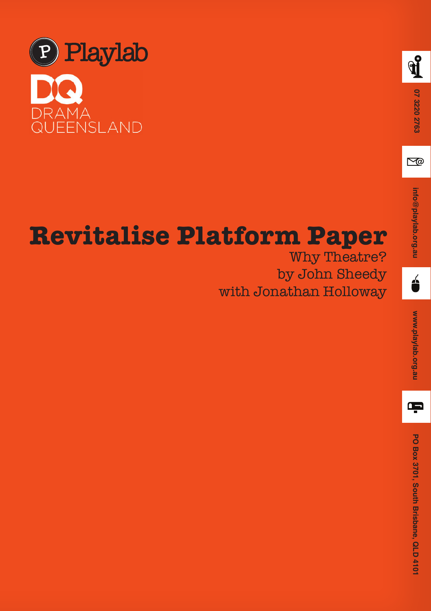



# **Revitalise Platform Paper**

Why Theatre? by John Sheedy with Jonathan Holloway

é

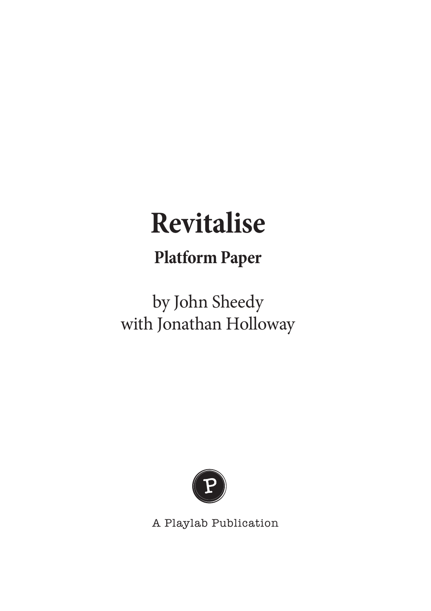# **Revitalise**

### **Platform Paper**

## by John Sheedy with Jonathan Holloway



A Playlab Publication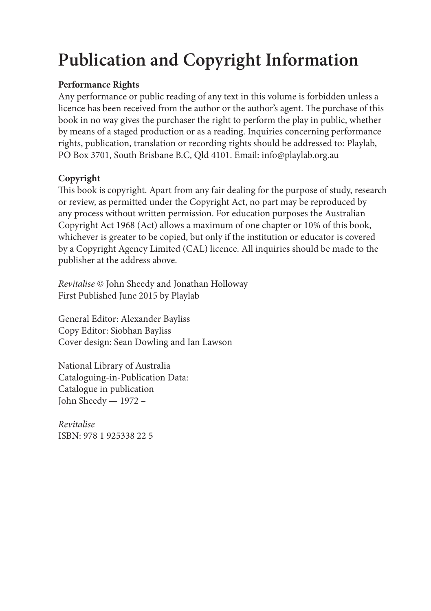### **Publication and Copyright Information**

#### **Performance Rights**

Any performance or public reading of any text in this volume is forbidden unless a licence has been received from the author or the author's agent. The purchase of this book in no way gives the purchaser the right to perform the play in public, whether by means of a staged production or as a reading. Inquiries concerning performance rights, publication, translation or recording rights should be addressed to: Playlab, PO Box 3701, South Brisbane B.C, Qld 4101. Email: info@playlab.org.au

#### **Copyright**

This book is copyright. Apart from any fair dealing for the purpose of study, research or review, as permitted under the Copyright Act, no part may be reproduced by any process without written permission. For education purposes the Australian Copyright Act 1968 (Act) allows a maximum of one chapter or 10% of this book, whichever is greater to be copied, but only if the institution or educator is covered by a Copyright Agency Limited (CAL) licence. All inquiries should be made to the publisher at the address above.

*Revitalise* © John Sheedy and Jonathan Holloway First Published June 2015 by Playlab

General Editor: Alexander Bayliss Copy Editor: Siobhan Bayliss Cover design: Sean Dowling and Ian Lawson

National Library of Australia Cataloguing-in-Publication Data: Catalogue in publication John Sheedy — 1972 –

*Revitalise*  ISBN: 978 1 925338 22 5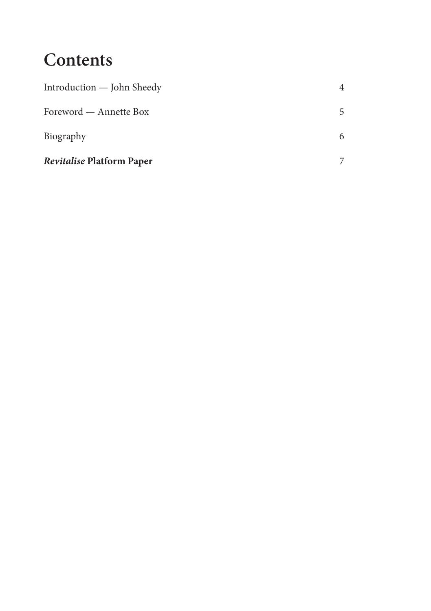### **Contents**

| <b>Revitalise Platform Paper</b> |   |
|----------------------------------|---|
| Biography                        |   |
| Foreword — Annette Box           | 5 |
| Introduction - John Sheedy       | 4 |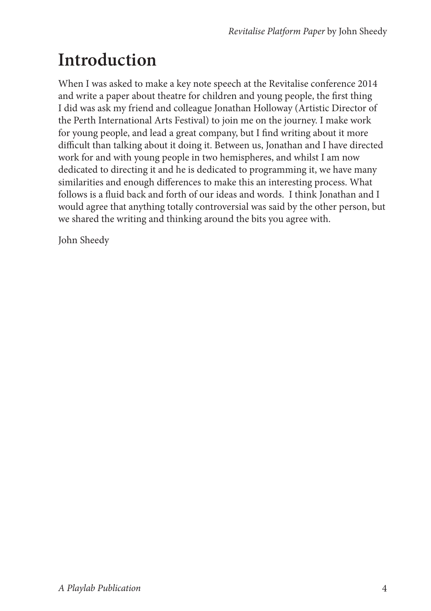### **Introduction**

When I was asked to make a key note speech at the Revitalise conference 2014 and write a paper about theatre for children and young people, the first thing I did was ask my friend and colleague Jonathan Holloway (Artistic Director of the Perth International Arts Festival) to join me on the journey. I make work for young people, and lead a great company, but I find writing about it more difficult than talking about it doing it. Between us, Jonathan and I have directed work for and with young people in two hemispheres, and whilst I am now dedicated to directing it and he is dedicated to programming it, we have many similarities and enough differences to make this an interesting process. What follows is a fluid back and forth of our ideas and words. I think Jonathan and I would agree that anything totally controversial was said by the other person, but we shared the writing and thinking around the bits you agree with.

John Sheedy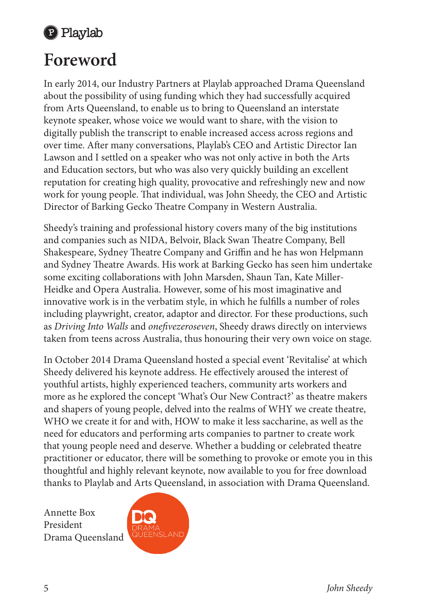

### **Foreword**

In early 2014, our Industry Partners at Playlab approached Drama Queensland about the possibility of using funding which they had successfully acquired from Arts Queensland, to enable us to bring to Queensland an interstate keynote speaker, whose voice we would want to share, with the vision to digitally publish the transcript to enable increased access across regions and over time. After many conversations, Playlab's CEO and Artistic Director Ian Lawson and I settled on a speaker who was not only active in both the Arts and Education sectors, but who was also very quickly building an excellent reputation for creating high quality, provocative and refreshingly new and now work for young people. That individual, was John Sheedy, the CEO and Artistic Director of Barking Gecko Theatre Company in Western Australia.

Sheedy's training and professional history covers many of the big institutions and companies such as NIDA, Belvoir, Black Swan Theatre Company, Bell Shakespeare, Sydney Theatre Company and Griffin and he has won Helpmann and Sydney Theatre Awards. His work at Barking Gecko has seen him undertake some exciting collaborations with John Marsden, Shaun Tan, Kate Miller-Heidke and Opera Australia. However, some of his most imaginative and innovative work is in the verbatim style, in which he fulfills a number of roles including playwright, creator, adaptor and director. For these productions, such as *Driving Into Walls* and *onefivezeroseven*, Sheedy draws directly on interviews taken from teens across Australia, thus honouring their very own voice on stage.

In October 2014 Drama Queensland hosted a special event 'Revitalise' at which Sheedy delivered his keynote address. He effectively aroused the interest of youthful artists, highly experienced teachers, community arts workers and more as he explored the concept 'What's Our New Contract?' as theatre makers and shapers of young people, delved into the realms of WHY we create theatre, WHO we create it for and with, HOW to make it less saccharine, as well as the need for educators and performing arts companies to partner to create work that young people need and deserve. Whether a budding or celebrated theatre practitioner or educator, there will be something to provoke or emote you in this thoughtful and highly relevant keynote, now available to you for free download thanks to Playlab and Arts Queensland, in association with Drama Queensland.

Annette Box President Drama Queensland

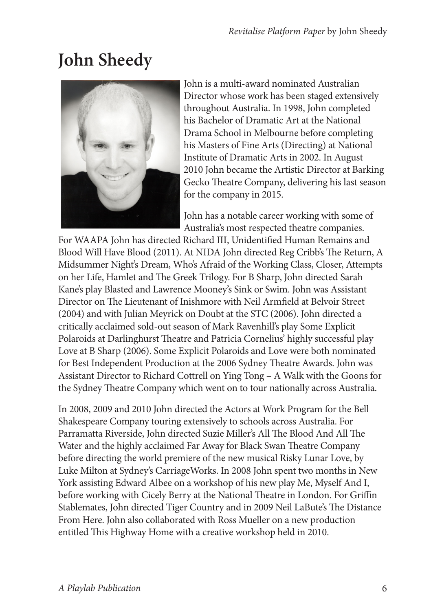## **John Sheedy**



John is a multi-award nominated Australian Director whose work has been staged extensively throughout Australia. In 1998, John completed his Bachelor of Dramatic Art at the National Drama School in Melbourne before completing his Masters of Fine Arts (Directing) at National Institute of Dramatic Arts in 2002. In August 2010 John became the Artistic Director at Barking Gecko Theatre Company, delivering his last season for the company in 2015.

John has a notable career working with some of Australia's most respected theatre companies.

For WAAPA John has directed Richard III, Unidentified Human Remains and Blood Will Have Blood (2011). At NIDA John directed Reg Cribb's The Return, A Midsummer Night's Dream, Who's Afraid of the Working Class, Closer, Attempts on her Life, Hamlet and The Greek Trilogy. For B Sharp, John directed Sarah Kane's play Blasted and Lawrence Mooney's Sink or Swim. John was Assistant Director on The Lieutenant of Inishmore with Neil Armfield at Belvoir Street (2004) and with Julian Meyrick on Doubt at the STC (2006). John directed a critically acclaimed sold-out season of Mark Ravenhill's play Some Explicit Polaroids at Darlinghurst Theatre and Patricia Cornelius' highly successful play Love at B Sharp (2006). Some Explicit Polaroids and Love were both nominated for Best Independent Production at the 2006 Sydney Theatre Awards. John was Assistant Director to Richard Cottrell on Ying Tong – A Walk with the Goons for the Sydney Theatre Company which went on to tour nationally across Australia.

In 2008, 2009 and 2010 John directed the Actors at Work Program for the Bell Shakespeare Company touring extensively to schools across Australia. For Parramatta Riverside, John directed Suzie Miller's All The Blood And All The Water and the highly acclaimed Far Away for Black Swan Theatre Company before directing the world premiere of the new musical Risky Lunar Love, by Luke Milton at Sydney's CarriageWorks. In 2008 John spent two months in New York assisting Edward Albee on a workshop of his new play Me, Myself And I, before working with Cicely Berry at the National Theatre in London. For Griffin Stablemates, John directed Tiger Country and in 2009 Neil LaBute's The Distance From Here. John also collaborated with Ross Mueller on a new production entitled This Highway Home with a creative workshop held in 2010.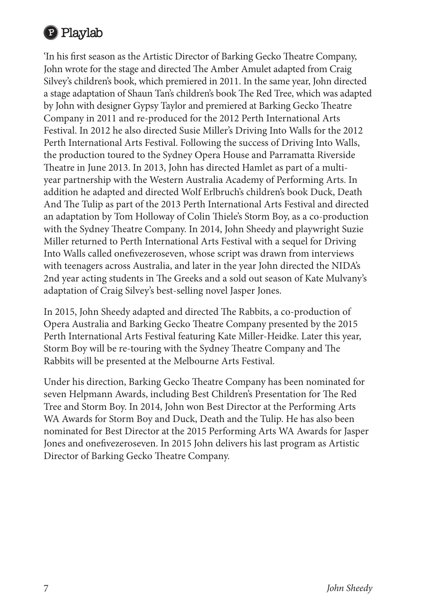

'In his first season as the Artistic Director of Barking Gecko Theatre Company, John wrote for the stage and directed The Amber Amulet adapted from Craig Silvey's children's book, which premiered in 2011. In the same year, John directed a stage adaptation of Shaun Tan's children's book The Red Tree, which was adapted by John with designer Gypsy Taylor and premiered at Barking Gecko Theatre Company in 2011 and re-produced for the 2012 Perth International Arts Festival. In 2012 he also directed Susie Miller's Driving Into Walls for the 2012 Perth International Arts Festival. Following the success of Driving Into Walls, the production toured to the Sydney Opera House and Parramatta Riverside Theatre in June 2013. In 2013, John has directed Hamlet as part of a multiyear partnership with the Western Australia Academy of Performing Arts. In addition he adapted and directed Wolf Erlbruch's children's book Duck, Death And The Tulip as part of the 2013 Perth International Arts Festival and directed an adaptation by Tom Holloway of Colin Thiele's Storm Boy, as a co-production with the Sydney Theatre Company. In 2014, John Sheedy and playwright Suzie Miller returned to Perth International Arts Festival with a sequel for Driving Into Walls called onefivezeroseven, whose script was drawn from interviews with teenagers across Australia, and later in the year John directed the NIDA's 2nd year acting students in The Greeks and a sold out season of Kate Mulvany's adaptation of Craig Silvey's best-selling novel Jasper Jones.

In 2015, John Sheedy adapted and directed The Rabbits, a co-production of Opera Australia and Barking Gecko Theatre Company presented by the 2015 Perth International Arts Festival featuring Kate Miller-Heidke. Later this year, Storm Boy will be re-touring with the Sydney Theatre Company and The Rabbits will be presented at the Melbourne Arts Festival.

Under his direction, Barking Gecko Theatre Company has been nominated for seven Helpmann Awards, including Best Children's Presentation for The Red Tree and Storm Boy. In 2014, John won Best Director at the Performing Arts WA Awards for Storm Boy and Duck, Death and the Tulip. He has also been nominated for Best Director at the 2015 Performing Arts WA Awards for Jasper Jones and onefivezeroseven. In 2015 John delivers his last program as Artistic Director of Barking Gecko Theatre Company.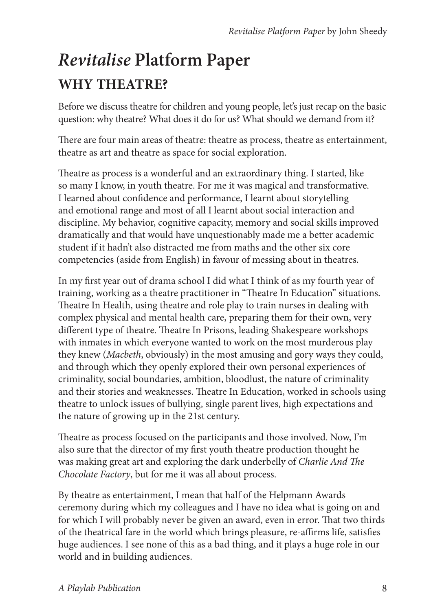### *Revitalise* **Platform Paper WHY THEATRE?**

Before we discuss theatre for children and young people, let's just recap on the basic question: why theatre? What does it do for us? What should we demand from it?

There are four main areas of theatre: theatre as process, theatre as entertainment, theatre as art and theatre as space for social exploration.

Theatre as process is a wonderful and an extraordinary thing. I started, like so many I know, in youth theatre. For me it was magical and transformative. I learned about confidence and performance, I learnt about storytelling and emotional range and most of all I learnt about social interaction and discipline. My behavior, cognitive capacity, memory and social skills improved dramatically and that would have unquestionably made me a better academic student if it hadn't also distracted me from maths and the other six core competencies (aside from English) in favour of messing about in theatres.

In my first year out of drama school I did what I think of as my fourth year of training, working as a theatre practitioner in "Theatre In Education" situations. Theatre In Health, using theatre and role play to train nurses in dealing with complex physical and mental health care, preparing them for their own, very different type of theatre. Theatre In Prisons, leading Shakespeare workshops with inmates in which everyone wanted to work on the most murderous play they knew (*Macbeth*, obviously) in the most amusing and gory ways they could, and through which they openly explored their own personal experiences of criminality, social boundaries, ambition, bloodlust, the nature of criminality and their stories and weaknesses. Theatre In Education, worked in schools using theatre to unlock issues of bullying, single parent lives, high expectations and the nature of growing up in the 21st century.

Theatre as process focused on the participants and those involved. Now, I'm also sure that the director of my first youth theatre production thought he was making great art and exploring the dark underbelly of *Charlie And The Chocolate Factory*, but for me it was all about process.

By theatre as entertainment, I mean that half of the Helpmann Awards ceremony during which my colleagues and I have no idea what is going on and for which I will probably never be given an award, even in error. That two thirds of the theatrical fare in the world which brings pleasure, re-affirms life, satisfies huge audiences. I see none of this as a bad thing, and it plays a huge role in our world and in building audiences.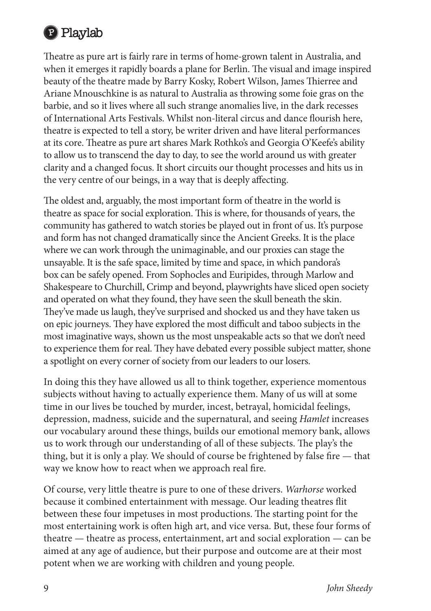

Theatre as pure art is fairly rare in terms of home-grown talent in Australia, and when it emerges it rapidly boards a plane for Berlin. The visual and image inspired beauty of the theatre made by Barry Kosky, Robert Wilson, James Thierree and Ariane Mnouschkine is as natural to Australia as throwing some foie gras on the barbie, and so it lives where all such strange anomalies live, in the dark recesses of International Arts Festivals. Whilst non-literal circus and dance flourish here, theatre is expected to tell a story, be writer driven and have literal performances at its core. Theatre as pure art shares Mark Rothko's and Georgia O'Keefe's ability to allow us to transcend the day to day, to see the world around us with greater clarity and a changed focus. It short circuits our thought processes and hits us in the very centre of our beings, in a way that is deeply affecting.

The oldest and, arguably, the most important form of theatre in the world is theatre as space for social exploration. This is where, for thousands of years, the community has gathered to watch stories be played out in front of us. It's purpose and form has not changed dramatically since the Ancient Greeks. It is the place where we can work through the unimaginable, and our proxies can stage the unsayable. It is the safe space, limited by time and space, in which pandora's box can be safely opened. From Sophocles and Euripides, through Marlow and Shakespeare to Churchill, Crimp and beyond, playwrights have sliced open society and operated on what they found, they have seen the skull beneath the skin. They've made us laugh, they've surprised and shocked us and they have taken us on epic journeys. They have explored the most difficult and taboo subjects in the most imaginative ways, shown us the most unspeakable acts so that we don't need to experience them for real. They have debated every possible subject matter, shone a spotlight on every corner of society from our leaders to our losers.

In doing this they have allowed us all to think together, experience momentous subjects without having to actually experience them. Many of us will at some time in our lives be touched by murder, incest, betrayal, homicidal feelings, depression, madness, suicide and the supernatural, and seeing *Hamlet* increases our vocabulary around these things, builds our emotional memory bank, allows us to work through our understanding of all of these subjects. The play's the thing, but it is only a play. We should of course be frightened by false fire — that way we know how to react when we approach real fire.

Of course, very little theatre is pure to one of these drivers. *Warhorse* worked because it combined entertainment with message. Our leading theatres flit between these four impetuses in most productions. The starting point for the most entertaining work is often high art, and vice versa. But, these four forms of theatre — theatre as process, entertainment, art and social exploration — can be aimed at any age of audience, but their purpose and outcome are at their most potent when we are working with children and young people.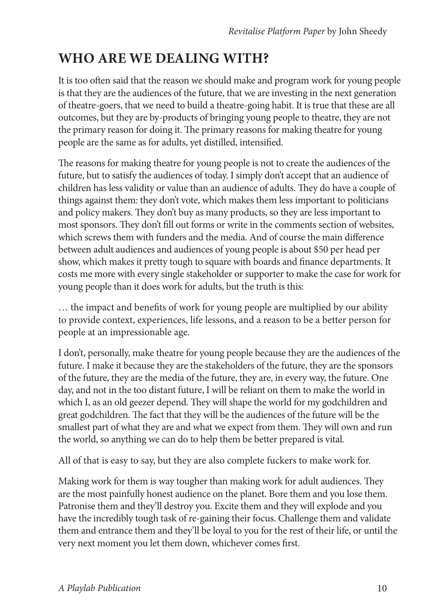#### **WHO ARE WE DEALING WITH?**

It is too often said that the reason we should make and program work for young people is that they are the audiences of the future, that we are investing in the next generation of theatre-goers, that we need to build a theatre-going habit. It is true that these are all outcomes, but they are by-products of bringing young people to theatre, they are not the primary reason for doing it. The primary reasons for making theatre for young people are the same as for adults, yet distilled, intensified.

The reasons for making theatre for young people is not to create the audiences of the future, but to satisfy the audiences of today. I simply don't accept that an audience of children has less validity or value than an audience of adults. They do have a couple of things against them: they don't vote, which makes them less important to politicians and policy makers. They don't buy as many products, so they are less important to most sponsors. They don't fill out forms or write in the comments section of websites, which screws them with funders and the media. And of course the main difference between adult audiences and audiences of young people is about \$50 per head per show, which makes it pretty tough to square with boards and finance departments. It costs me more with every single stakeholder or supporter to make the case for work for young people than it does work for adults, but the truth is this:

… the impact and benefits of work for young people are multiplied by our ability to provide context, experiences, life lessons, and a reason to be a better person for people at an impressionable age.

I don't, personally, make theatre for young people because they are the audiences of the future. I make it because they are the stakeholders of the future, they are the sponsors of the future, they are the media of the future, they are, in every way, the future. One day, and not in the too distant future, I will be reliant on them to make the world in which I, as an old geezer depend. They will shape the world for my godchildren and great godchildren. The fact that they will be the audiences of the future will be the smallest part of what they are and what we expect from them. They will own and run the world, so anything we can do to help them be better prepared is vital.

All of that is easy to say, but they are also complete fuckers to make work for.

Making work for them is way tougher than making work for adult audiences. They are the most painfully honest audience on the planet. Bore them and you lose them. Patronise them and they'll destroy you. Excite them and they will explode and you have the incredibly tough task of re-gaining their focus. Challenge them and validate them and entrance them and they'll be loyal to you for the rest of their life, or until the very next moment you let them down, whichever comes first.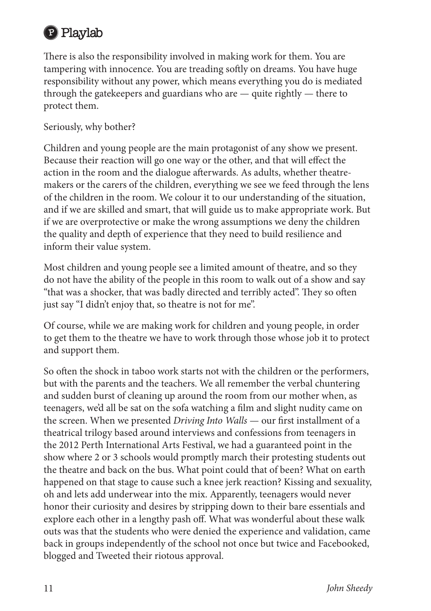

There is also the responsibility involved in making work for them. You are tampering with innocence. You are treading softly on dreams. You have huge responsibility without any power, which means everything you do is mediated through the gatekeepers and guardians who are — quite rightly — there to protect them.

Seriously, why bother?

Children and young people are the main protagonist of any show we present. Because their reaction will go one way or the other, and that will effect the action in the room and the dialogue afterwards. As adults, whether theatremakers or the carers of the children, everything we see we feed through the lens of the children in the room. We colour it to our understanding of the situation, and if we are skilled and smart, that will guide us to make appropriate work. But if we are overprotective or make the wrong assumptions we deny the children the quality and depth of experience that they need to build resilience and inform their value system.

Most children and young people see a limited amount of theatre, and so they do not have the ability of the people in this room to walk out of a show and say "that was a shocker, that was badly directed and terribly acted". They so often just say "I didn't enjoy that, so theatre is not for me".

Of course, while we are making work for children and young people, in order to get them to the theatre we have to work through those whose job it to protect and support them.

So often the shock in taboo work starts not with the children or the performers, but with the parents and the teachers. We all remember the verbal chuntering and sudden burst of cleaning up around the room from our mother when, as teenagers, we'd all be sat on the sofa watching a film and slight nudity came on the screen. When we presented *Driving Into Walls* — our first installment of a theatrical trilogy based around interviews and confessions from teenagers in the 2012 Perth International Arts Festival, we had a guaranteed point in the show where 2 or 3 schools would promptly march their protesting students out the theatre and back on the bus. What point could that of been? What on earth happened on that stage to cause such a knee jerk reaction? Kissing and sexuality, oh and lets add underwear into the mix. Apparently, teenagers would never honor their curiosity and desires by stripping down to their bare essentials and explore each other in a lengthy pash off. What was wonderful about these walk outs was that the students who were denied the experience and validation, came back in groups independently of the school not once but twice and Facebooked, blogged and Tweeted their riotous approval.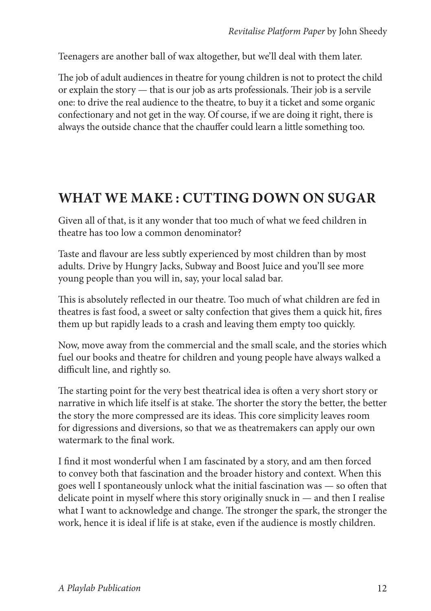Teenagers are another ball of wax altogether, but we'll deal with them later.

The job of adult audiences in theatre for young children is not to protect the child or explain the story — that is our job as arts professionals. Their job is a servile one: to drive the real audience to the theatre, to buy it a ticket and some organic confectionary and not get in the way. Of course, if we are doing it right, there is always the outside chance that the chauffer could learn a little something too.

#### **WHAT WE MAKE : CUTTING DOWN ON SUGAR**

Given all of that, is it any wonder that too much of what we feed children in theatre has too low a common denominator?

Taste and flavour are less subtly experienced by most children than by most adults. Drive by Hungry Jacks, Subway and Boost Juice and you'll see more young people than you will in, say, your local salad bar.

This is absolutely reflected in our theatre. Too much of what children are fed in theatres is fast food, a sweet or salty confection that gives them a quick hit, fires them up but rapidly leads to a crash and leaving them empty too quickly.

Now, move away from the commercial and the small scale, and the stories which fuel our books and theatre for children and young people have always walked a difficult line, and rightly so.

The starting point for the very best theatrical idea is often a very short story or narrative in which life itself is at stake. The shorter the story the better, the better the story the more compressed are its ideas. This core simplicity leaves room for digressions and diversions, so that we as theatremakers can apply our own watermark to the final work.

I find it most wonderful when I am fascinated by a story, and am then forced to convey both that fascination and the broader history and context. When this goes well I spontaneously unlock what the initial fascination was — so often that delicate point in myself where this story originally snuck in — and then I realise what I want to acknowledge and change. The stronger the spark, the stronger the work, hence it is ideal if life is at stake, even if the audience is mostly children.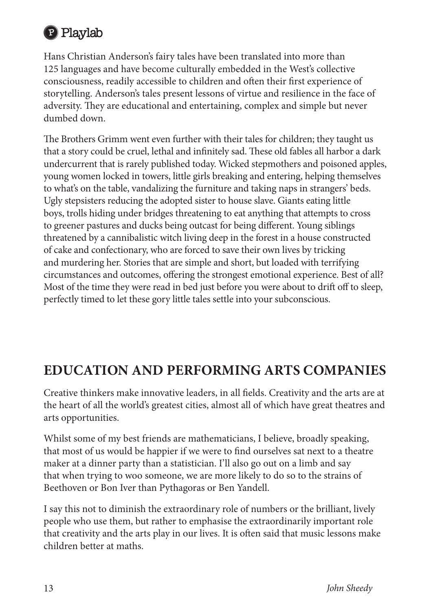

Hans Christian Anderson's fairy tales have been translated into more than 125 languages and have become culturally embedded in the West's collective consciousness, readily accessible to children and often their first experience of storytelling. Anderson's tales present lessons of virtue and resilience in the face of adversity. They are educational and entertaining, complex and simple but never dumbed down.

The Brothers Grimm went even further with their tales for children; they taught us that a story could be cruel, lethal and infinitely sad. These old fables all harbor a dark undercurrent that is rarely published today. Wicked stepmothers and poisoned apples, young women locked in towers, little girls breaking and entering, helping themselves to what's on the table, vandalizing the furniture and taking naps in strangers' beds. Ugly stepsisters reducing the adopted sister to house slave. Giants eating little boys, trolls hiding under bridges threatening to eat anything that attempts to cross to greener pastures and ducks being outcast for being different. Young siblings threatened by a cannibalistic witch living deep in the forest in a house constructed of cake and confectionary, who are forced to save their own lives by tricking and murdering her. Stories that are simple and short, but loaded with terrifying circumstances and outcomes, offering the strongest emotional experience. Best of all? Most of the time they were read in bed just before you were about to drift off to sleep, perfectly timed to let these gory little tales settle into your subconscious.

#### **EDUCATION AND PERFORMING ARTS COMPANIES**

Creative thinkers make innovative leaders, in all fields. Creativity and the arts are at the heart of all the world's greatest cities, almost all of which have great theatres and arts opportunities.

Whilst some of my best friends are mathematicians, I believe, broadly speaking, that most of us would be happier if we were to find ourselves sat next to a theatre maker at a dinner party than a statistician. I'll also go out on a limb and say that when trying to woo someone, we are more likely to do so to the strains of Beethoven or Bon Iver than Pythagoras or Ben Yandell.

I say this not to diminish the extraordinary role of numbers or the brilliant, lively people who use them, but rather to emphasise the extraordinarily important role that creativity and the arts play in our lives. It is often said that music lessons make children better at maths.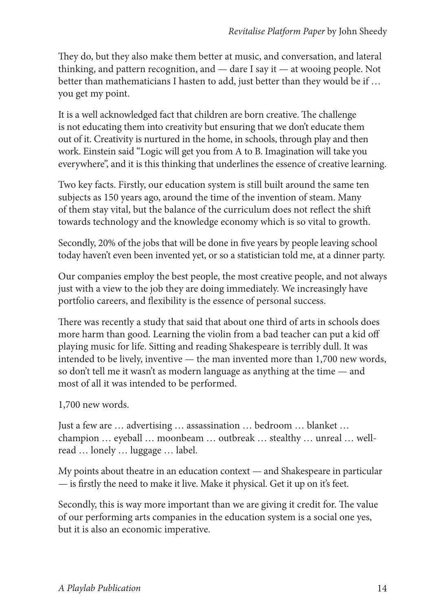They do, but they also make them better at music, and conversation, and lateral thinking, and pattern recognition, and — dare I say it — at wooing people. Not better than mathematicians I hasten to add, just better than they would be if … you get my point.

It is a well acknowledged fact that children are born creative. The challenge is not educating them into creativity but ensuring that we don't educate them out of it. Creativity is nurtured in the home, in schools, through play and then work. Einstein said "Logic will get you from A to B. Imagination will take you everywhere", and it is this thinking that underlines the essence of creative learning.

Two key facts. Firstly, our education system is still built around the same ten subjects as 150 years ago, around the time of the invention of steam. Many of them stay vital, but the balance of the curriculum does not reflect the shift towards technology and the knowledge economy which is so vital to growth.

Secondly, 20% of the jobs that will be done in five years by people leaving school today haven't even been invented yet, or so a statistician told me, at a dinner party.

Our companies employ the best people, the most creative people, and not always just with a view to the job they are doing immediately. We increasingly have portfolio careers, and flexibility is the essence of personal success.

There was recently a study that said that about one third of arts in schools does more harm than good. Learning the violin from a bad teacher can put a kid off playing music for life. Sitting and reading Shakespeare is terribly dull. It was intended to be lively, inventive — the man invented more than 1,700 new words, so don't tell me it wasn't as modern language as anything at the time — and most of all it was intended to be performed.

1,700 new words.

Just a few are … advertising … assassination … bedroom … blanket … champion … eyeball … moonbeam … outbreak … stealthy … unreal … wellread … lonely … luggage … label.

My points about theatre in an education context — and Shakespeare in particular — is firstly the need to make it live. Make it physical. Get it up on it's feet.

Secondly, this is way more important than we are giving it credit for. The value of our performing arts companies in the education system is a social one yes, but it is also an economic imperative.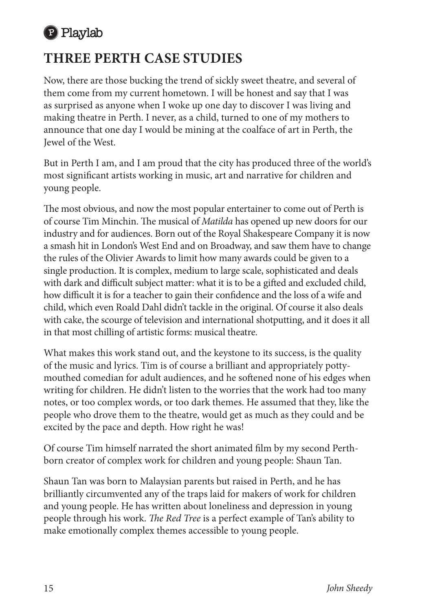

#### **THREE PERTH CASE STUDIES**

Now, there are those bucking the trend of sickly sweet theatre, and several of them come from my current hometown. I will be honest and say that I was as surprised as anyone when I woke up one day to discover I was living and making theatre in Perth. I never, as a child, turned to one of my mothers to announce that one day I would be mining at the coalface of art in Perth, the Jewel of the West.

But in Perth I am, and I am proud that the city has produced three of the world's most significant artists working in music, art and narrative for children and young people.

The most obvious, and now the most popular entertainer to come out of Perth is of course Tim Minchin. The musical of *Matilda* has opened up new doors for our industry and for audiences. Born out of the Royal Shakespeare Company it is now a smash hit in London's West End and on Broadway, and saw them have to change the rules of the Olivier Awards to limit how many awards could be given to a single production. It is complex, medium to large scale, sophisticated and deals with dark and difficult subject matter: what it is to be a gifted and excluded child, how difficult it is for a teacher to gain their confidence and the loss of a wife and child, which even Roald Dahl didn't tackle in the original. Of course it also deals with cake, the scourge of television and international shotputting, and it does it all in that most chilling of artistic forms: musical theatre.

What makes this work stand out, and the keystone to its success, is the quality of the music and lyrics. Tim is of course a brilliant and appropriately pottymouthed comedian for adult audiences, and he softened none of his edges when writing for children. He didn't listen to the worries that the work had too many notes, or too complex words, or too dark themes. He assumed that they, like the people who drove them to the theatre, would get as much as they could and be excited by the pace and depth. How right he was!

Of course Tim himself narrated the short animated film by my second Perthborn creator of complex work for children and young people: Shaun Tan.

Shaun Tan was born to Malaysian parents but raised in Perth, and he has brilliantly circumvented any of the traps laid for makers of work for children and young people. He has written about loneliness and depression in young people through his work. *The Red Tree* is a perfect example of Tan's ability to make emotionally complex themes accessible to young people.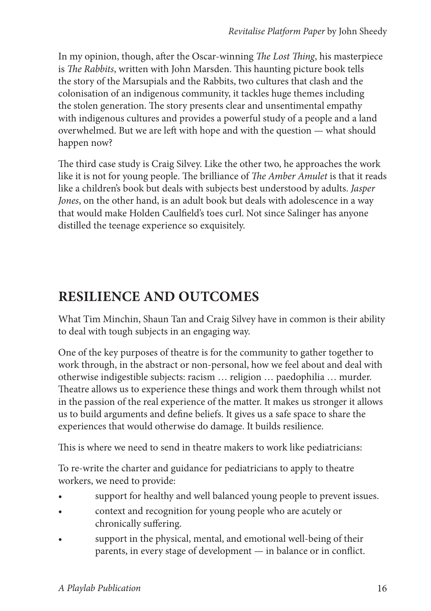In my opinion, though, after the Oscar-winning *The Lost Thing*, his masterpiece is *The Rabbits*, written with John Marsden. This haunting picture book tells the story of the Marsupials and the Rabbits, two cultures that clash and the colonisation of an indigenous community, it tackles huge themes including the stolen generation. The story presents clear and unsentimental empathy with indigenous cultures and provides a powerful study of a people and a land overwhelmed. But we are left with hope and with the question — what should happen now?

The third case study is Craig Silvey. Like the other two, he approaches the work like it is not for young people. The brilliance of *The Amber Amulet* is that it reads like a children's book but deals with subjects best understood by adults. *Jasper Jones*, on the other hand, is an adult book but deals with adolescence in a way that would make Holden Caulfield's toes curl. Not since Salinger has anyone distilled the teenage experience so exquisitely.

#### **RESILIENCE AND OUTCOMES**

What Tim Minchin, Shaun Tan and Craig Silvey have in common is their ability to deal with tough subjects in an engaging way.

One of the key purposes of theatre is for the community to gather together to work through, in the abstract or non-personal, how we feel about and deal with otherwise indigestible subjects: racism … religion … paedophilia … murder. Theatre allows us to experience these things and work them through whilst not in the passion of the real experience of the matter. It makes us stronger it allows us to build arguments and define beliefs. It gives us a safe space to share the experiences that would otherwise do damage. It builds resilience.

This is where we need to send in theatre makers to work like pediatricians:

To re-write the charter and guidance for pediatricians to apply to theatre workers, we need to provide:

- support for healthy and well balanced young people to prevent issues.
- • context and recognition for young people who are acutely or chronically suffering.
- support in the physical, mental, and emotional well-being of their parents, in every stage of development — in balance or in conflict.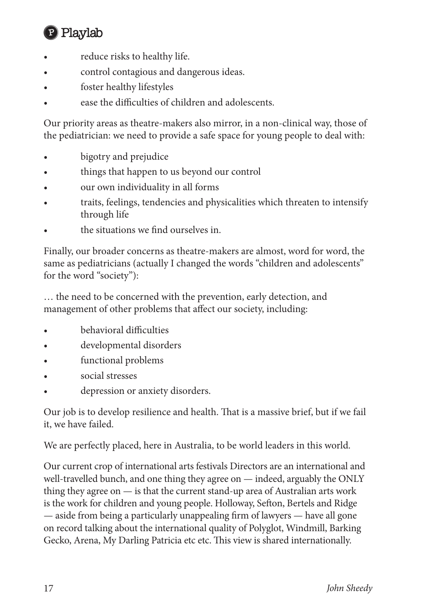

- reduce risks to healthy life.
- control contagious and dangerous ideas.
- foster healthy lifestyles
- ease the difficulties of children and adolescents.

Our priority areas as theatre-makers also mirror, in a non-clinical way, those of the pediatrician: we need to provide a safe space for young people to deal with:

- bigotry and prejudice
- things that happen to us beyond our control
- our own individuality in all forms
- traits, feelings, tendencies and physicalities which threaten to intensify through life
- the situations we find ourselves in.

Finally, our broader concerns as theatre-makers are almost, word for word, the same as pediatricians (actually I changed the words "children and adolescents" for the word "society"):

… the need to be concerned with the prevention, early detection, and management of other problems that affect our society, including:

- • behavioral difficulties
- developmental disorders
- functional problems
- • social stresses
- depression or anxiety disorders.

Our job is to develop resilience and health. That is a massive brief, but if we fail it, we have failed.

We are perfectly placed, here in Australia, to be world leaders in this world.

Our current crop of international arts festivals Directors are an international and well-travelled bunch, and one thing they agree on — indeed, arguably the ONLY thing they agree on  $\frac{1}{10}$  is that the current stand-up area of Australian arts work is the work for children and young people. Holloway, Sefton, Bertels and Ridge — aside from being a particularly unappealing firm of lawyers — have all gone on record talking about the international quality of Polyglot, Windmill, Barking Gecko, Arena, My Darling Patricia etc etc. This view is shared internationally.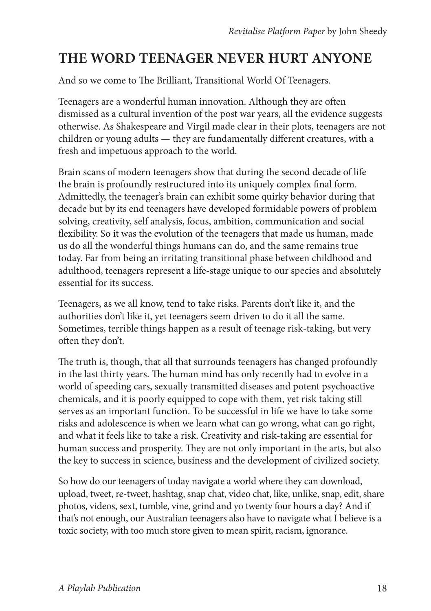#### **THE WORD TEENAGER NEVER HURT ANYONE**

And so we come to The Brilliant, Transitional World Of Teenagers.

Teenagers are a wonderful human innovation. Although they are often dismissed as a cultural invention of the post war years, all the evidence suggests otherwise. As Shakespeare and Virgil made clear in their plots, teenagers are not children or young adults — they are fundamentally different creatures, with a fresh and impetuous approach to the world.

Brain scans of modern teenagers show that during the second decade of life the brain is profoundly restructured into its uniquely complex final form. Admittedly, the teenager's brain can exhibit some quirky behavior during that decade but by its end teenagers have developed formidable powers of problem solving, creativity, self analysis, focus, ambition, communication and social flexibility. So it was the evolution of the teenagers that made us human, made us do all the wonderful things humans can do, and the same remains true today. Far from being an irritating transitional phase between childhood and adulthood, teenagers represent a life-stage unique to our species and absolutely essential for its success.

Teenagers, as we all know, tend to take risks. Parents don't like it, and the authorities don't like it, yet teenagers seem driven to do it all the same. Sometimes, terrible things happen as a result of teenage risk-taking, but very often they don't.

The truth is, though, that all that surrounds teenagers has changed profoundly in the last thirty years. The human mind has only recently had to evolve in a world of speeding cars, sexually transmitted diseases and potent psychoactive chemicals, and it is poorly equipped to cope with them, yet risk taking still serves as an important function. To be successful in life we have to take some risks and adolescence is when we learn what can go wrong, what can go right, and what it feels like to take a risk. Creativity and risk-taking are essential for human success and prosperity. They are not only important in the arts, but also the key to success in science, business and the development of civilized society.

So how do our teenagers of today navigate a world where they can download, upload, tweet, re-tweet, hashtag, snap chat, video chat, like, unlike, snap, edit, share photos, videos, sext, tumble, vine, grind and yo twenty four hours a day? And if that's not enough, our Australian teenagers also have to navigate what I believe is a toxic society, with too much store given to mean spirit, racism, ignorance.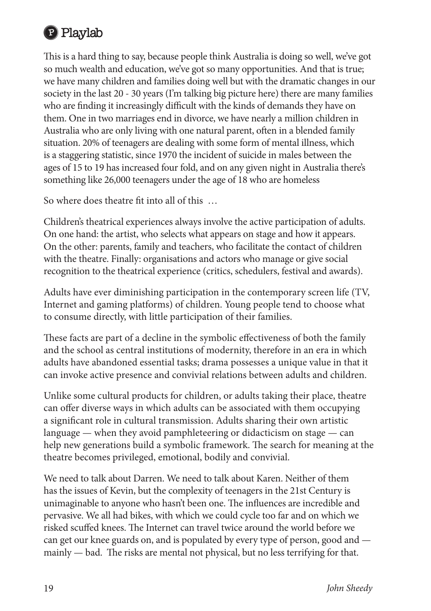

This is a hard thing to say, because people think Australia is doing so well, we've got so much wealth and education, we've got so many opportunities. And that is true; we have many children and families doing well but with the dramatic changes in our society in the last 20 - 30 years (I'm talking big picture here) there are many families who are finding it increasingly difficult with the kinds of demands they have on them. One in two marriages end in divorce, we have nearly a million children in Australia who are only living with one natural parent, often in a blended family situation. 20% of teenagers are dealing with some form of mental illness, which is a staggering statistic, since 1970 the incident of suicide in males between the ages of 15 to 19 has increased four fold, and on any given night in Australia there's something like 26,000 teenagers under the age of 18 who are homeless

So where does theatre fit into all of this …

Children's theatrical experiences always involve the active participation of adults. On one hand: the artist, who selects what appears on stage and how it appears. On the other: parents, family and teachers, who facilitate the contact of children with the theatre. Finally: organisations and actors who manage or give social recognition to the theatrical experience (critics, schedulers, festival and awards).

Adults have ever diminishing participation in the contemporary screen life (TV, Internet and gaming platforms) of children. Young people tend to choose what to consume directly, with little participation of their families.

These facts are part of a decline in the symbolic effectiveness of both the family and the school as central institutions of modernity, therefore in an era in which adults have abandoned essential tasks; drama possesses a unique value in that it can invoke active presence and convivial relations between adults and children.

Unlike some cultural products for children, or adults taking their place, theatre can offer diverse ways in which adults can be associated with them occupying a significant role in cultural transmission. Adults sharing their own artistic language — when they avoid pamphleteering or didacticism on stage — can help new generations build a symbolic framework. The search for meaning at the theatre becomes privileged, emotional, bodily and convivial.

We need to talk about Darren. We need to talk about Karen. Neither of them has the issues of Kevin, but the complexity of teenagers in the 21st Century is unimaginable to anyone who hasn't been one. The influences are incredible and pervasive. We all had bikes, with which we could cycle too far and on which we risked scuffed knees. The Internet can travel twice around the world before we can get our knee guards on, and is populated by every type of person, good and mainly — bad. The risks are mental not physical, but no less terrifying for that.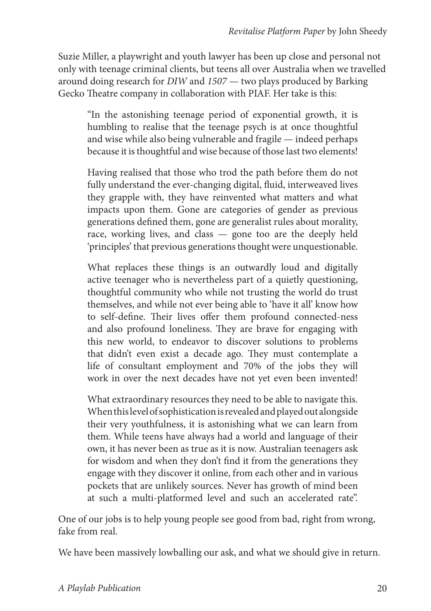Suzie Miller, a playwright and youth lawyer has been up close and personal not only with teenage criminal clients, but teens all over Australia when we travelled around doing research for *DIW* and *1507* — two plays produced by Barking Gecko Theatre company in collaboration with PIAF. Her take is this:

"In the astonishing teenage period of exponential growth, it is humbling to realise that the teenage psych is at once thoughtful and wise while also being vulnerable and fragile — indeed perhaps because it is thoughtful and wise because of those last two elements!

Having realised that those who trod the path before them do not fully understand the ever-changing digital, fluid, interweaved lives they grapple with, they have reinvented what matters and what impacts upon them. Gone are categories of gender as previous generations defined them, gone are generalist rules about morality, race, working lives, and class — gone too are the deeply held 'principles' that previous generations thought were unquestionable.

What replaces these things is an outwardly loud and digitally active teenager who is nevertheless part of a quietly questioning, thoughtful community who while not trusting the world do trust themselves, and while not ever being able to 'have it all' know how to self-define. Their lives offer them profound connected-ness and also profound loneliness. They are brave for engaging with this new world, to endeavor to discover solutions to problems that didn't even exist a decade ago. They must contemplate a life of consultant employment and 70% of the jobs they will work in over the next decades have not yet even been invented!

What extraordinary resources they need to be able to navigate this. When this level of sophistication is revealed and played out alongside their very youthfulness, it is astonishing what we can learn from them. While teens have always had a world and language of their own, it has never been as true as it is now. Australian teenagers ask for wisdom and when they don't find it from the generations they engage with they discover it online, from each other and in various pockets that are unlikely sources. Never has growth of mind been at such a multi-platformed level and such an accelerated rate".

One of our jobs is to help young people see good from bad, right from wrong, fake from real.

We have been massively lowballing our ask, and what we should give in return.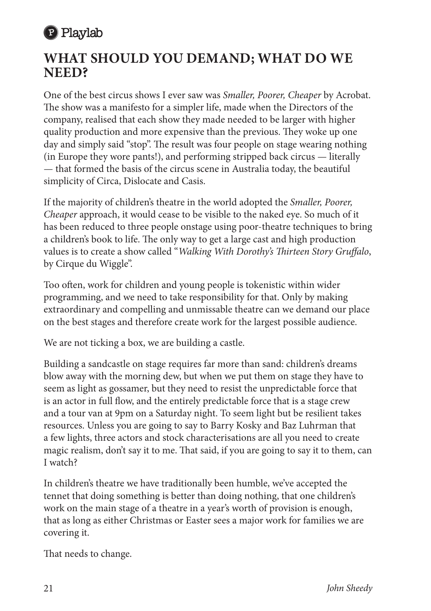

#### **WHAT SHOULD YOU DEMAND; WHAT DO WE NEED?**

One of the best circus shows I ever saw was *Smaller, Poorer, Cheaper* by Acrobat. The show was a manifesto for a simpler life, made when the Directors of the company, realised that each show they made needed to be larger with higher quality production and more expensive than the previous. They woke up one day and simply said "stop". The result was four people on stage wearing nothing (in Europe they wore pants!), and performing stripped back circus — literally — that formed the basis of the circus scene in Australia today, the beautiful simplicity of Circa, Dislocate and Casis.

If the majority of children's theatre in the world adopted the *Smaller, Poorer, Cheaper* approach, it would cease to be visible to the naked eye. So much of it has been reduced to three people onstage using poor-theatre techniques to bring a children's book to life. The only way to get a large cast and high production values is to create a show called "*Walking With Dorothy's Thirteen Story Gruffalo*, by Cirque du Wiggle".

Too often, work for children and young people is tokenistic within wider programming, and we need to take responsibility for that. Only by making extraordinary and compelling and unmissable theatre can we demand our place on the best stages and therefore create work for the largest possible audience.

We are not ticking a box, we are building a castle.

Building a sandcastle on stage requires far more than sand: children's dreams blow away with the morning dew, but when we put them on stage they have to seem as light as gossamer, but they need to resist the unpredictable force that is an actor in full flow, and the entirely predictable force that is a stage crew and a tour van at 9pm on a Saturday night. To seem light but be resilient takes resources. Unless you are going to say to Barry Kosky and Baz Luhrman that a few lights, three actors and stock characterisations are all you need to create magic realism, don't say it to me. That said, if you are going to say it to them, can I watch?

In children's theatre we have traditionally been humble, we've accepted the tennet that doing something is better than doing nothing, that one children's work on the main stage of a theatre in a year's worth of provision is enough, that as long as either Christmas or Easter sees a major work for families we are covering it.

That needs to change.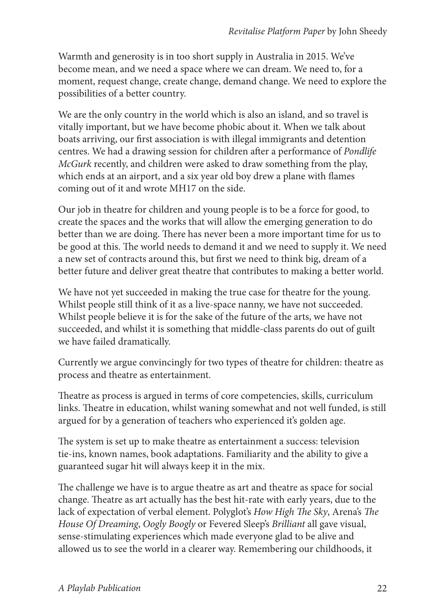Warmth and generosity is in too short supply in Australia in 2015. We've become mean, and we need a space where we can dream. We need to, for a moment, request change, create change, demand change. We need to explore the possibilities of a better country.

We are the only country in the world which is also an island, and so travel is vitally important, but we have become phobic about it. When we talk about boats arriving, our first association is with illegal immigrants and detention centres. We had a drawing session for children after a performance of *Pondlife McGurk* recently, and children were asked to draw something from the play, which ends at an airport, and a six year old boy drew a plane with flames coming out of it and wrote MH17 on the side.

Our job in theatre for children and young people is to be a force for good, to create the spaces and the works that will allow the emerging generation to do better than we are doing. There has never been a more important time for us to be good at this. The world needs to demand it and we need to supply it. We need a new set of contracts around this, but first we need to think big, dream of a better future and deliver great theatre that contributes to making a better world.

We have not yet succeeded in making the true case for theatre for the young. Whilst people still think of it as a live-space nanny, we have not succeeded. Whilst people believe it is for the sake of the future of the arts, we have not succeeded, and whilst it is something that middle-class parents do out of guilt we have failed dramatically.

Currently we argue convincingly for two types of theatre for children: theatre as process and theatre as entertainment.

Theatre as process is argued in terms of core competencies, skills, curriculum links. Theatre in education, whilst waning somewhat and not well funded, is still argued for by a generation of teachers who experienced it's golden age.

The system is set up to make theatre as entertainment a success: television tie-ins, known names, book adaptations. Familiarity and the ability to give a guaranteed sugar hit will always keep it in the mix.

The challenge we have is to argue theatre as art and theatre as space for social change. Theatre as art actually has the best hit-rate with early years, due to the lack of expectation of verbal element. Polyglot's *How High The Sky*, Arena's *The House Of Dreaming*, *Oogly Boogly* or Fevered Sleep's *Brilliant* all gave visual, sense-stimulating experiences which made everyone glad to be alive and allowed us to see the world in a clearer way. Remembering our childhoods, it